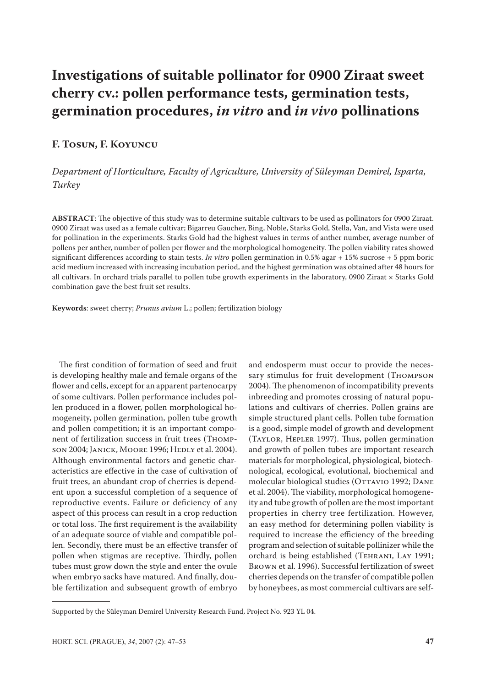# **Investigations of suitable pollinator for 0900 Ziraat sweet cherry cv.: pollen performance tests, germination tests, germination procedures,** *in vitro* **and** *in vivo* **pollinations**

### **F. Tosun, F. Koyuncu**

*Department of Horticulture, Faculty of Agriculture, University of Süleyman Demirel, Isparta, Turkey*

**ABSTRACT**: The objective of this study was to determine suitable cultivars to be used as pollinators for 0900 Ziraat. 0900 Ziraat was used as a female cultivar; Bigarreu Gaucher, Bing, Noble, Starks Gold, Stella, Van, and Vista were used for pollination in the experiments. Starks Gold had the highest values in terms of anther number, average number of pollens per anther, number of pollen per flower and the morphological homogeneity. The pollen viability rates showed significant differences according to stain tests. *In vitro* pollen germination in 0.5% agar + 15% sucrose + 5 ppm boric acid medium increased with increasing incubation period, and the highest germination was obtained after 48 hours for all cultivars. In orchard trials parallel to pollen tube growth experiments in the laboratory, 0900 Ziraat × Starks Gold combination gave the best fruit set results.

**Keywords**: sweet cherry; *Prunus avium* L.; pollen; fertilization biology

The first condition of formation of seed and fruit is developing healthy male and female organs of the flower and cells, except for an apparent partenocarpy of some cultivars. Pollen performance includes pollen produced in a flower, pollen morphological homogeneity, pollen germination, pollen tube growth and pollen competition; it is an important component of fertilization success in fruit trees (Thompson 2004; Janick, Moore 1996; Hedly et al. 2004). Although environmental factors and genetic characteristics are effective in the case of cultivation of fruit trees, an abundant crop of cherries is dependent upon a successful completion of a sequence of reproductive events. Failure or deficiency of any aspect of this process can result in a crop reduction or total loss. The first requirement is the availability of an adequate source of viable and compatible pollen. Secondly, there must be an effective transfer of pollen when stigmas are receptive. Thirdly, pollen tubes must grow down the style and enter the ovule when embryo sacks have matured. And finally, double fertilization and subsequent growth of embryo

and endosperm must occur to provide the necessary stimulus for fruit development (Thompson 2004). The phenomenon of incompatibility prevents inbreeding and promotes crossing of natural populations and cultivars of cherries. Pollen grains are simple structured plant cells. Pollen tube formation is a good, simple model of growth and development (Taylor, Hepler 1997). Thus, pollen germination and growth of pollen tubes are important research materials for morphological, physiological, biotechnological, ecological, evolutional, biochemical and molecular biological studies (OTTAVIO 1992; DANE et al. 2004). The viability, morphological homogeneity and tube growth of pollen are the most important properties in cherry tree fertilization. However, an easy method for determining pollen viability is required to increase the efficiency of the breeding program and selection of suitable pollinizer while the orchard is being established (Tehrani, Lay 1991; Brown et al. 1996). Successful fertilization of sweet cherries depends on the transfer of compatible pollen by honeybees, as most commercial cultivars are self-

Supported by the Süleyman Demirel University Research Fund, Project No. 923 YL 04.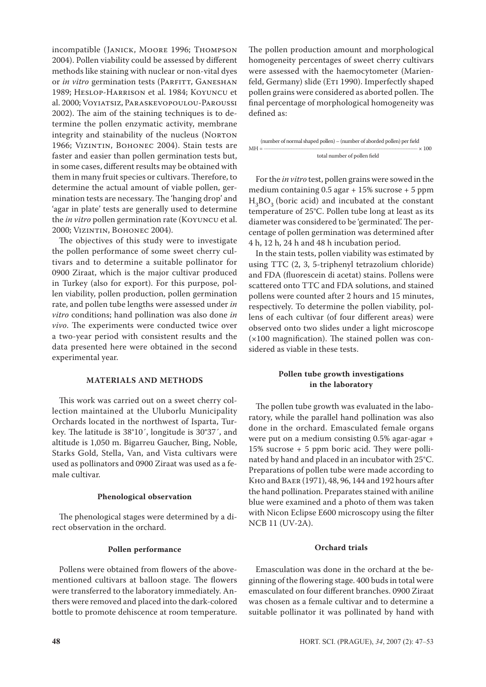incompatible (Janick, Moore 1996; Thompson 2004). Pollen viability could be assessed by different methods like staining with nuclear or non-vital dyes or *in vitro* germination tests (PARFITT, GANESHAN 1989; Heslop-Harrison et al. 1984; Koyuncu et al. 2000; Voyiatsiz, Paraskevopoulou-Paroussi 2002). The aim of the staining techniques is to determine the pollen enzymatic activity, membrane integrity and stainability of the nucleus (NORTON 1966; Vizintin, Bohonec 2004). Stain tests are faster and easier than pollen germination tests but, in some cases, different results may be obtained with them in many fruit species or cultivars. Therefore, to determine the actual amount of viable pollen, germination tests are necessary. The 'hanging drop' and 'agar in plate' tests are generally used to determine the *in vitro* pollen germination rate (Koyuncu et al. 2000; Vizintin, Bohonec 2004).

The objectives of this study were to investigate the pollen performance of some sweet cherry cultivars and to determine a suitable pollinator for 0900 Ziraat, which is the major cultivar produced in Turkey (also for export). For this purpose, pollen viability, pollen production, pollen germination rate, and pollen tube lengths were assessed under *in vitro* conditions; hand pollination was also done *in vivo*. The experiments were conducted twice over a two-year period with consistent results and the data presented here were obtained in the second experimental year.

#### **MATERIALS AND METHODS**

This work was carried out on a sweet cherry collection maintained at the Uluborlu Municipality Orchards located in the northwest of Isparta, Turkey. The latitude is 38°10´, longitude is 30°37´, and altitude is 1,050 m. Bigarreu Gaucher, Bing, Noble, Starks Gold, Stella, Van, and Vista cultivars were used as pollinators and 0900 Ziraat was used as a female cultivar.

#### **Phenological observation**

The phenological stages were determined by a direct observation in the orchard.

#### **Pollen performance**

Pollens were obtained from flowers of the abovementioned cultivars at balloon stage. The flowers were transferred to the laboratory immediately. Anthers were removed and placed into the dark-colored bottle to promote dehiscence at room temperature.

The pollen production amount and morphological homogeneity percentages of sweet cherry cultivars were assessed with the haemocytometer (Marienfeld, Germany) slide (ETI 1990). Imperfectly shaped pollen grains were considered as aborted pollen. The final percentage of morphological homogeneity was defined as:

 (number of normal shaped pollen) – (number of aborded pollen) per field MH = –––––––––––––––––––––––––––––––––––––––––––––––––––––––– × 100 total number of pollen field

For the *in vitro* test, pollen grains were sowed in the medium containing 0.5 agar + 15% sucrose + 5 ppm  $H_3BO_3$  (boric acid) and incubated at the constant temperature of 25°C. Pollen tube long at least as its diameter was considered to be 'germinated'. The percentage of pollen germination was determined after 4 h, 12 h, 24 h and 48 h incubation period.

In the stain tests, pollen viability was estimated by using TTC (2, 3, 5-triphenyl tetrazolium chloride) and FDA (fluorescein di acetat) stains. Pollens were scattered onto TTC and FDA solutions, and stained pollens were counted after 2 hours and 15 minutes, respectively. To determine the pollen viability, pollens of each cultivar (of four different areas) were observed onto two slides under a light microscope  $(x100)$  magnification). The stained pollen was considered as viable in these tests.

#### **Pollen tube growth investigations in the laboratory**

The pollen tube growth was evaluated in the laboratory, while the parallel hand pollination was also done in the orchard. Emasculated female organs were put on a medium consisting 0.5% agar-agar + 15% sucrose + 5 ppm boric acid. They were pollinated by hand and placed in an incubator with 25°C. Preparations of pollen tube were made according to Kho and Baer (1971), 48, 96, 144 and 192 hours after the hand pollination. Preparates stained with aniline blue were examined and a photo of them was taken with Nicon Eclipse E600 microscopy using the filter NCB 11 (UV-2A).

#### **Orchard trials**

Emasculation was done in the orchard at the beginning of the flowering stage. 400 buds in total were emasculated on four different branches. 0900 Ziraat was chosen as a female cultivar and to determine a suitable pollinator it was pollinated by hand with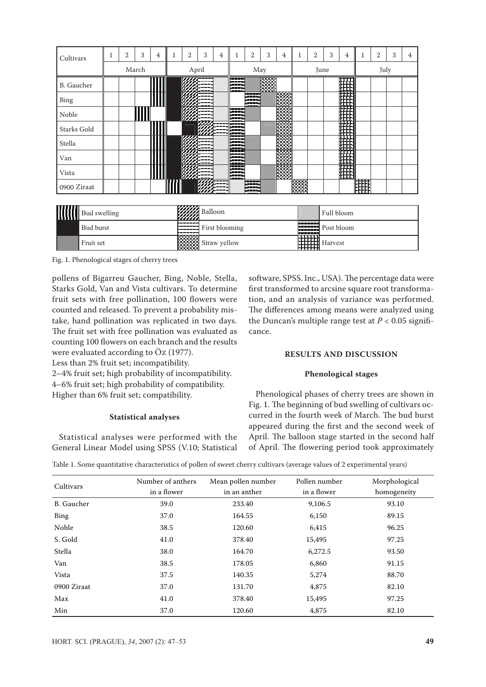| Cultivars          | T | 2 | 3     | 4 | 1 | 2     | 3                  | $\overline{4}$ | 1 | $\overline{2}$ | 3 | 4     | 1    | $\overline{2}$ | 3 | 4                                |            | 2 | 3 | $\overline{4}$ |
|--------------------|---|---|-------|---|---|-------|--------------------|----------------|---|----------------|---|-------|------|----------------|---|----------------------------------|------------|---|---|----------------|
|                    |   |   | March |   |   | April |                    |                |   | May            |   |       | June |                |   |                                  | July       |   |   |                |
| <b>B.</b> Gaucher  |   |   |       |   |   |       |                    |                |   |                |   |       |      |                |   |                                  |            |   |   |                |
| <b>Bing</b>        |   |   |       |   |   |       |                    |                |   |                |   |       |      |                |   |                                  |            |   |   |                |
| Noble              |   |   |       |   |   |       |                    |                |   |                |   |       |      |                |   |                                  |            |   |   |                |
| <b>Starks Gold</b> |   |   |       |   |   |       |                    |                |   |                |   |       |      |                |   |                                  |            |   |   |                |
| Stella             |   |   |       |   |   |       |                    |                |   |                |   |       |      |                |   |                                  |            |   |   |                |
| Van                |   |   |       |   |   |       |                    |                |   |                |   |       |      |                |   |                                  |            |   |   |                |
| Vista              |   |   |       |   |   |       |                    |                |   |                |   | 13333 |      |                |   |                                  |            |   |   |                |
| 0900 Ziraat        |   |   |       |   |   |       |                    |                |   |                |   |       |      |                |   |                                  | <b>HEE</b> |   |   |                |
|                    |   |   |       |   |   |       |                    |                |   |                |   |       |      |                |   |                                  |            |   |   |                |
| Rud swelling       |   |   |       |   |   |       | <b>WWA</b> Balloon |                |   |                |   |       |      |                |   | Full <sub>h</sub> <sub>hom</sub> |            |   |   |                |

|  | <b>THE Bud swelling</b> | <b>MAN</b> Balloon           |                  | Full bloom         |
|--|-------------------------|------------------------------|------------------|--------------------|
|  | Bud burst               | First blooming               |                  | Post bloom         |
|  | Fruit set               | <b>XXXXX</b><br>Straw yellow | —————<br>╓┰┰┰┰┰╖ | <b>HHH</b> Harvest |

Fig. 1. Phenological stages of cherry trees

pollens of Bigarreu Gaucher, Bing, Noble, Stella, Starks Gold, Van and Vista cultivars. To determine fruit sets with free pollination, 100 flowers were counted and released. To prevent a probability mistake, hand pollination was replicated in two days. The fruit set with free pollination was evaluated as counting 100 flowers on each branch and the results were evaluated according to Öz (1977).

Less than 2% fruit set; incompatibility.

2–4% fruit set; high probability of incompatibility. 4–6% fruit set; high probability of compatibility. Higher than 6% fruit set; compatibility.

#### **Statistical analyses**

Statistical analyses were performed with the General Linear Model using SPSS (V.10; Statistical software, SPSS. Inc., USA). The percentage data were first transformed to arcsine square root transformation, and an analysis of variance was performed. The differences among means were analyzed using the Duncan's multiple range test at  $P < 0.05$  significance.

#### **RESULTS AND DISCUSSION**

#### **Phenological stages**

Phenological phases of cherry trees are shown in Fig. 1. The beginning of bud swelling of cultivars occurred in the fourth week of March. The bud burst appeared during the first and the second week of April. The balloon stage started in the second half of April. The flowering period took approximately

Table 1. Some quantitative characteristics of pollen of sweet cherry cultivars (average values of 2 experimental years)

| Cultivars   | Number of anthers<br>in a flower | Mean pollen number<br>in an anther | Pollen number<br>in a flower | Morphological<br>homogeneity |
|-------------|----------------------------------|------------------------------------|------------------------------|------------------------------|
| B. Gaucher  | 39.0                             | 233.40                             | 9,106.5                      | 93.10                        |
| <b>Bing</b> | 37.0                             | 164.55                             | 6,150                        | 89.15                        |
| Noble       | 38.5                             | 120.60                             | 6,415                        | 96.25                        |
| S. Gold     | 41.0                             | 378.40                             | 15,495                       | 97.25                        |
| Stella      | 38.0                             | 164.70                             | 6,272.5                      | 93.50                        |
| Van         | 38.5                             | 178.05                             | 6,860                        | 91.15                        |
| Vista       | 37.5                             | 140.35                             | 5,274                        | 88.70                        |
| 0900 Ziraat | 37.0                             | 131.70                             | 4,875                        | 82.10                        |
| Max         | 41.0                             | 378.40                             | 15,495                       | 97.25                        |
| Min         | 37.0                             | 120.60                             | 4,875                        | 82.10                        |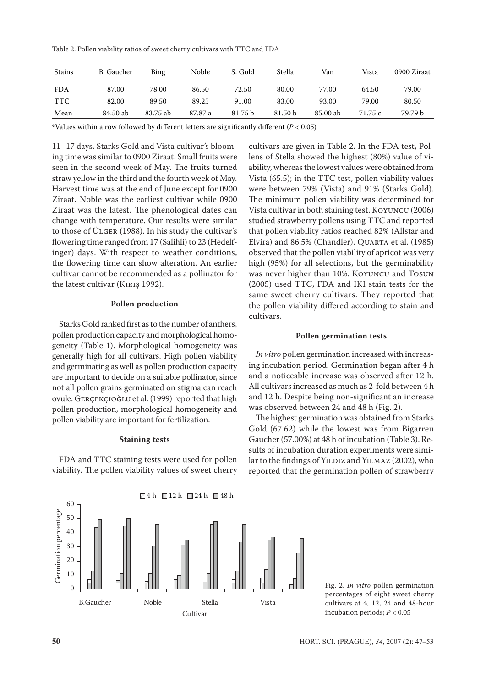Table 2. Pollen viability ratios of sweet cherry cultivars with TTC and FDA

| Stains     | B. Gaucher | Bing     | Noble   | S. Gold | Stella  | Van      | Vista   | 0900 Ziraat |
|------------|------------|----------|---------|---------|---------|----------|---------|-------------|
| <b>FDA</b> | 87.00      | 78.00    | 86.50   | 72.50   | 80.00   | 77.00    | 64.50   | 79.00       |
| <b>TTC</b> | 82.00      | 89.50    | 89.25   | 91.00   | 83.00   | 93.00    | 79.00   | 80.50       |
| Mean       | 84.50 ab   | 83.75 ab | 87.87 a | 81.75 b | 81.50 b | 85.00 ab | 71.75 c | 79.79 b     |

**\***Values within a row followed by different letters are significantly different (*P* < 0.05)

11–17 days. Starks Gold and Vista cultivar's blooming time was similar to 0900 Ziraat. Small fruits were seen in the second week of May. The fruits turned straw yellow in the third and the fourth week of May. Harvest time was at the end of June except for 0900 Ziraat. Noble was the earliest cultivar while 0900 Ziraat was the latest. The phenological dates can change with temperature. Our results were similar to those of Ülger (1988). In his study the cultivar's flowering time ranged from 17 (Salihli) to 23 (Hedelfinger) days. With respect to weather conditions, the flowering time can show alteration. An earlier cultivar cannot be recommended as a pollinator for the latest cultivar (KIRIŞ 1992).

#### **Pollen production**

Starks Gold ranked first as to the number of anthers, pollen production capacity and morphological homogeneity (Table 1). Morphological homogeneity was generally high for all cultivars. High pollen viability and germinating as well as pollen production capacity are important to decide on a suitable pollinator, since not all pollen grains germinated on stigma can reach ovule. GerçekçioĞlu et al. (1999) reported that high pollen production, morphological homogeneity and pollen viability are important for fertilization.

#### **Staining tests**

FDA and TTC staining tests were used for pollen viability. The pollen viability values of sweet cherry

cultivars are given in Table 2. In the FDA test, Pollens of Stella showed the highest (80%) value of viability, whereas the lowest values were obtained from Vista (65.5); in the TTC test, pollen viability values were between 79% (Vista) and 91% (Starks Gold). The minimum pollen viability was determined for Vista cultivar in both staining test. Koyuncu (2006) studied strawberry pollens using TTC and reported that pollen viability ratios reached 82% (Allstar and Elvira) and 86.5% (Chandler). Quarta et al. (1985) observed that the pollen viability of apricot was very high (95%) for all selections, but the germinability was never higher than 10%. Koyuncu and Tosun (2005) used TTC, FDA and IKI stain tests for the same sweet cherry cultivars. They reported that the pollen viability differed according to stain and cultivars.

#### **Pollen germination tests**

*In vitro* pollen germination increased with increasing incubation period. Germination began after 4 h and a noticeable increase was observed after 12 h. All cultivars increased as much as 2-fold between 4 h and 12 h. Despite being non-significant an increase was observed between 24 and 48 h (Fig. 2).

The highest germination was obtained from Starks Gold (67.62) while the lowest was from Bigarreu Gaucher (57.00%) at 48 h of incubation (Table 3). Results of incubation duration experiments were similar to the findings of YILDIZ and YILMAZ (2002), who reported that the germination pollen of strawberry



Fig. 2. *In vitro* pollen germination percentages of eight sweet cherry cultivars at 4, 12, 24 and 48-hour incubation periods; *P* < 0.05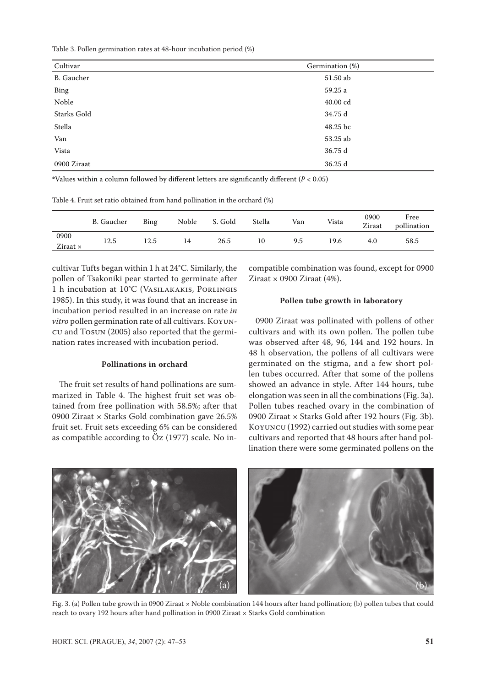Table 3. Pollen germination rates at 48-hour incubation period (%)

| Cultivar    | Germination (%) |
|-------------|-----------------|
| B. Gaucher  | 51.50 ab        |
| Bing        | 59.25 a         |
| Noble       | 40.00 cd        |
| Starks Gold | 34.75 d         |
| Stella      | 48.25 bc        |
| Van         | 53.25 ab        |
| Vista       | 36.75 d         |
| 0900 Ziraat | 36.25 d         |

**\***Values within a column followed by different letters are significantly different (*P* < 0.05)

| Table 4. Fruit set ratio obtained from hand pollination in the orchard (%) |  |  |  |
|----------------------------------------------------------------------------|--|--|--|
|----------------------------------------------------------------------------|--|--|--|

|                         | B. Gaucher | Bing | Noble | S. Gold | Stella | Van | Vista | 0900<br>Ziraat | Free<br>pollination |
|-------------------------|------------|------|-------|---------|--------|-----|-------|----------------|---------------------|
| 0900<br>Ziraat $\times$ | 12.5       | 12.5 | 14    | 26.5    | 10     | 9.5 | 19.6  | 4.0            | 58.5                |

cultivar Tufts began within 1 h at 24°C. Similarly, the pollen of Tsakoniki pear started to germinate after 1 h incubation at 10°C (Vasilakakis, Porlingis 1985). In this study, it was found that an increase in incubation period resulted in an increase on rate *in vitro* pollen germination rate of all cultivars. Koyuncu and Tosun (2005) also reported that the germination rates increased with incubation period.

#### **Pollinations in orchard**

The fruit set results of hand pollinations are summarized in Table 4. The highest fruit set was obtained from free pollination with 58.5%; after that 0900 Ziraat × Starks Gold combination gave 26.5% fruit set. Fruit sets exceeding 6% can be considered as compatible according to Öz (1977) scale. No incompatible combination was found, except for 0900 Ziraat  $\times$  0900 Ziraat (4%).

#### **Pollen tube growth in laboratory**

0900 Ziraat was pollinated with pollens of other cultivars and with its own pollen. The pollen tube was observed after 48, 96, 144 and 192 hours. In 48 h observation, the pollens of all cultivars were germinated on the stigma, and a few short pollen tubes occurred. After that some of the pollens showed an advance in style. After 144 hours, tube elongation was seen in all the combinations (Fig. 3a). Pollen tubes reached ovary in the combination of 0900 Ziraat × Starks Gold after 192 hours (Fig. 3b). Koyuncu (1992) carried out studies with some pear cultivars and reported that 48 hours after hand pollination there were some germinated pollens on the



Fig. 3. (a) Pollen tube growth in 0900 Ziraat × Noble combination 144 hours after hand pollination; (b) pollen tubes that could reach to ovary 192 hours after hand pollination in 0900 Ziraat × Starks Gold combination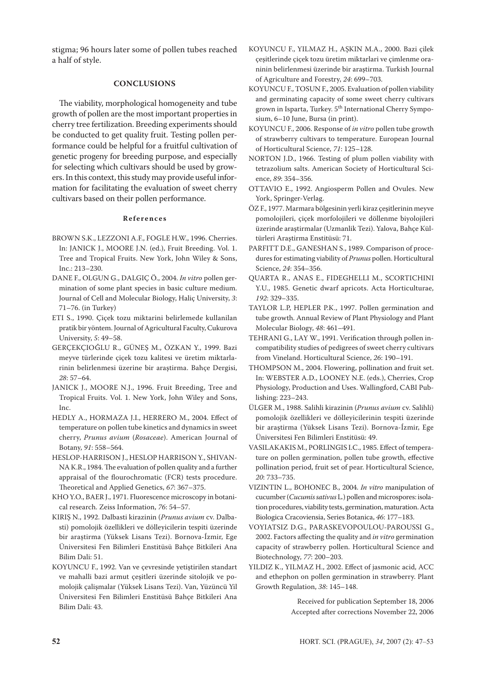stigma; 96 hours later some of pollen tubes reached a half of style.

#### **CONCLUSIONS**

The viability, morphological homogeneity and tube growth of pollen are the most important properties in cherry tree fertilization. Breeding experiments should be conducted to get quality fruit. Testing pollen performance could be helpful for a fruitful cultivation of genetic progeny for breeding purpose, and especially for selecting which cultivars should be used by growers. In this context, this study may provide useful information for facilitating the evaluation of sweet cherry cultivars based on their pollen performance.

#### **R e f e r e n c e s**

- BROWN S.K., LEZZONI A.F., FOGLE H.W., 1996. Cherries. In: JANICK J., MOORE J.N. (ed.), Fruit Breeding. Vol. 1. Tree and Tropical Fruits. New York, John Wiley & Sons, Inc.: 213–230.
- DANE F., OLGUN G., DALGIÇ Ö., 2004. *In vitro* pollen germination of some plant species in basic culture medium. Journal of Cell and Molecular Biology, Haliç University, *3*: 71–76. (in Turkey)
- ETI S., 1990. Çiçek tozu miktarini belirlemede kullanilan pratik bir yöntem. Journal of Agricultural Faculty, Cukurova University, *5*: 49–58.
- GERÇEKÇIOĞLU R., GÜNEŞ M., ÖZKAN Y., 1999. Bazi meyve türlerinde çiçek tozu kalitesi ve üretim miktarlarinin belirlenmesi üzerine bir araştirma. Bahçe Dergisi, *28*: 57–64.
- JANICK J., MOORE N.J., 1996. Fruit Breeding, Tree and Tropical Fruits. Vol. 1. New York, John Wiley and Sons, Inc.
- HEDLY A., HORMAZA J.I., HERRERO M., 2004. Effect of temperature on pollen tube kinetics and dynamics in sweet cherry, *Prunus avium* (*Rosaceae*). American Journal of Botany, *91*: 558–564.
- HESLOP-HARRISON J., HESLOP HARRISON Y., SHIVAN-NA K.R., 1984. The evaluation of pollen quality and a further appraisal of the flourochromatic (FCR) tests procedure. Theoretical and Applied Genetics, *67*: 367–375.
- KHO Y.O., BAER J., 1971. Fluorescence microscopy in botanical research. Zeiss Information, *76*: 54–57.
- KIRIŞ N., 1992. Dalbasti kirazinin (*Prunus avium* cv. Dalbasti) pomolojik özellikleri ve dölleyicilerin tespiti üzerinde bir araştirma (Yüksek Lisans Tezi). Bornova-Ízmir, Ege Üniversitesi Fen Bilimleri Enstitüsü Bahçe Bitkileri Ana Bilim Dali: 51.
- KOYUNCU F., 1992. Van ve çevresinde yetiştirilen standart ve mahalli bazi armut çeşitleri üzerinde sitolojik ve pomolojik çalişmalar (Yüksek Lisans Tezi). Van, Yüzüncü Yil Üniversitesi Fen Bilimleri Enstitüsü Bahçe Bitkileri Ana Bilim Dali: 43.
- KOYUNCU F., YILMAZ H., AŞKIN M.A., 2000. Bazi çilek çeşitlerinde çiçek tozu üretim miktarlari ve çimlenme oraninin belirlenmesi üzerinde bir araştirma. Turkish Journal of Agriculture and Forestry, *24*: 699–703.
- KOYUNCU F., TOSUN F., 2005. Evaluation of pollen viability and germinating capacity of some sweet cherry cultivars grown in Isparta, Turkey. 5<sup>th</sup> International Cherry Symposium, 6–10 June, Bursa (in print).
- KOYUNCU F., 2006. Response of *in vitro* pollen tube growth of strawberry cultivars to temperature. European Journal of Horticultural Science, *71*: 125–128.
- NORTON J.D., 1966. Testing of plum pollen viability with tetrazolium salts. American Society of Horticultural Science, *89*: 354–356.
- OTTAVIO E., 1992. Angiosperm Pollen and Ovules. New York, Springer-Verlag.
- ÖZ F., 1977. Marmara bölgesinin yerli kiraz çeşitlerinin meyve pomolojileri, çiçek morfolojileri ve döllenme biyolojileri üzerinde araştirmalar (Uzmanlik Tezi). Yalova, Bahçe Kültürleri Araştirma Enstitüsü: 71.
- PARFITT D.E., GANESHAN S., 1989. Comparison of procedures for estimating viability of *Prunus* pollen. Horticultural Science, *24*: 354–356.
- QUARTA R., ANAS E., FIDEGHELLI M., SCORTICHINI Y.U., 1985. Genetic dwarf apricots. Acta Horticulturae, *192*: 329–335.
- TAYLOR L.P, HEPLER P.K., 1997. Pollen germination and tube growth. Annual Review of Plant Physiology and Plant Molecular Biology, *48*: 461–491.
- TEHRANI G., LAY W., 1991. Verification through pollen incompatibility studies of pedigrees of sweet cherry cultivars from Vineland. Horticultural Science, *26*: 190–191.
- THOMPSON M., 2004. Flowering, pollination and fruit set. In: WEBSTER A.D., LOONEY N.E. (eds.), Cherries, Crop Physiology, Production and Uses. Wallingford, CABI Publishing: 223–243.
- ÜLGER M., 1988. Salihli kirazinin (*Prunus avium* cv. Salihli) pomolojik özellikleri ve dölleyicilerinin tespiti üzerinde bir araştirma (Yüksek Lisans Tezi). Bornova-Ízmir, Ege Üniversitesi Fen Bilimleri Enstitüsü: 49.
- VASILAKAKIS M., PORLINGIS I.C., 1985. Effect of temperature on pollen germination, pollen tube growth, effective pollination period, fruit set of pear. Horticultural Science, *20*: 733–735.
- VIZINTIN L., BOHONEC B., 2004. *In vitro* manipulation of cucumber (*Cucumis sativus* L*.*) pollen and microspores: isolation procedures, viability tests, germination, maturation. Acta Biologica Cracoviensia, Series Botanica, *46*: 177–183.
- VOYIATSIZ D.G., PARASKEVOPOULOU-PAROUSSI G., 2002. Factors affecting the quality and *in vitro* germination capacity of strawberry pollen. Horticultural Science and Biotechnology, *77*: 200–203.
- YILDIZ K., YILMAZ H., 2002. Effect of jasmonic acid, ACC and ethephon on pollen germination in strawberry. Plant Growth Regulation, *38*: 145–148.

Received for publication September 18, 2006 Accepted after corrections November 22, 2006